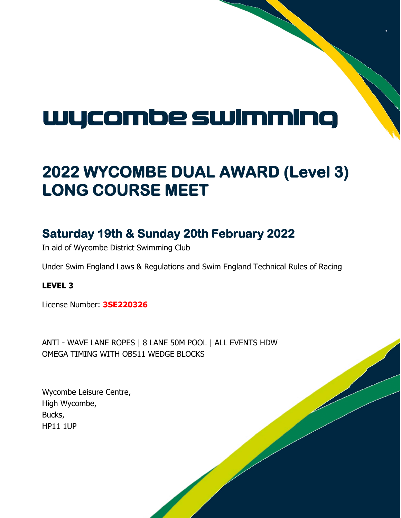### wycombe swimming

### **2022 WYCOMBE DUAL AWARD (Level 3) LONG COURSE MEET**

### **Saturday 19th & Sunday 20th February 2022**

In aid of Wycombe District Swimming Club

Under Swim England Laws & Regulations and Swim England Technical Rules of Racing

**LEVEL 3**

License Number: **3SE220326**

ANTI - WAVE LANE ROPES | 8 LANE 50M POOL | ALL EVENTS HDW OMEGA TIMING WITH OBS11 WEDGE BLOCKS

Wycombe Leisure Centre, High Wycombe, Bucks, HP11 1UP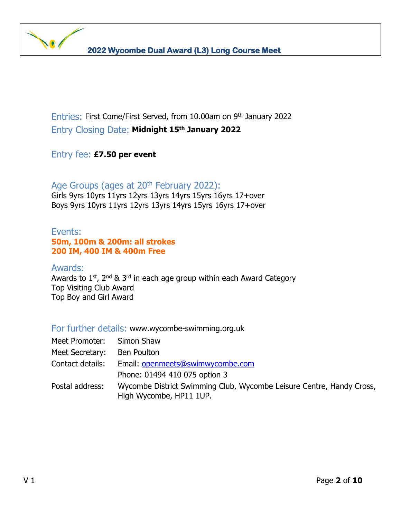Entries: First Come/First Served, from 10.00am on 9th January 2022 Entry Closing Date: **Midnight 15th January 2022**

Entry fee: **£7.50 per event**

Age Groups (ages at 20<sup>th</sup> February 2022): Girls 9yrs 10yrs 11yrs 12yrs 13yrs 14yrs 15yrs 16yrs 17+over Boys 9yrs 10yrs 11yrs 12yrs 13yrs 14yrs 15yrs 16yrs 17+over

#### Events: **50m, 100m & 200m: all strokes 200 IM, 400 IM & 400m Free**

#### Awards:

Awards to 1<sup>st</sup>, 2<sup>nd</sup> & 3<sup>rd</sup> in each age group within each Award Category Top Visiting Club Award Top Boy and Girl Award

#### For further details: www.wycombe-swimming.org.uk

| Meet Promoter:   | Simon Shaw                                                                                      |
|------------------|-------------------------------------------------------------------------------------------------|
| Meet Secretary:  | Ben Poulton                                                                                     |
| Contact details: | Email: openmeets@swimwycombe.com                                                                |
|                  | Phone: 01494 410 075 option 3                                                                   |
| Postal address:  | Wycombe District Swimming Club, Wycombe Leisure Centre, Handy Cross,<br>High Wycombe, HP11 1UP. |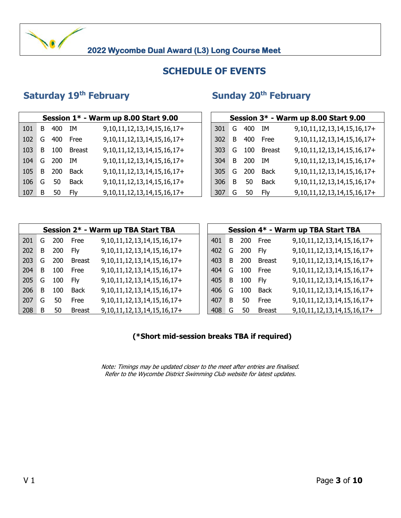#### **SCHEDULE OF EVENTS**

#### **Saturday 19th February**

#### **th February Sunday 20th February**

| Session 1* - Warm up 8.00 Start 9.00 |    |     |        |                                    |  |     | Session 3* - Warm up 8.00 Start 9.00 |     |             |                                    |  |  |  |
|--------------------------------------|----|-----|--------|------------------------------------|--|-----|--------------------------------------|-----|-------------|------------------------------------|--|--|--|
| 101                                  | B  | 400 | ΙM     | 9, 10, 11, 12, 13, 14, 15, 16, 17+ |  | 301 | G                                    | 400 | IM          | 9, 10, 11, 12, 13, 14, 15, 16, 17+ |  |  |  |
| 102                                  | G  | 400 | Free   | 9, 10, 11, 12, 13, 14, 15, 16, 17+ |  | 302 | B.                                   | 400 | Free        | 9, 10, 11, 12, 13, 14, 15, 16, 17+ |  |  |  |
| 103                                  | B. | 100 | Breast | 9, 10, 11, 12, 13, 14, 15, 16, 17+ |  | 303 | G                                    | 100 | Breast      | 9, 10, 11, 12, 13, 14, 15, 16, 17+ |  |  |  |
| 104                                  | G  | 200 | IΜ     | 9, 10, 11, 12, 13, 14, 15, 16, 17+ |  | 304 | B.                                   | 200 | ΙM          | 9, 10, 11, 12, 13, 14, 15, 16, 17+ |  |  |  |
| 105                                  | B  | 200 | Back   | 9, 10, 11, 12, 13, 14, 15, 16, 17+ |  | 305 | G                                    | 200 | <b>Back</b> | 9, 10, 11, 12, 13, 14, 15, 16, 17+ |  |  |  |
| 106                                  | G  | 50  | Back   | 9, 10, 11, 12, 13, 14, 15, 16, 17+ |  | 306 | B                                    | 50  | <b>Back</b> | 9, 10, 11, 12, 13, 14, 15, 16, 17+ |  |  |  |
| 107                                  | B  | 50  | Flv    | 9, 10, 11, 12, 13, 14, 15, 16, 17+ |  | 307 | G                                    | 50  | Flv         | 9, 10, 11, 12, 13, 14, 15, 16, 17+ |  |  |  |

| Session $1*$ - Warm up 8.00 Start 9.00 |     |               |                                    |  |     | Session 3* - Warm up 8.00 Start 9.00 |            |               |                                    |  |  |  |  |
|----------------------------------------|-----|---------------|------------------------------------|--|-----|--------------------------------------|------------|---------------|------------------------------------|--|--|--|--|
|                                        | 400 | IΜ            | 9, 10, 11, 12, 13, 14, 15, 16, 17+ |  | 301 | G                                    | 400        | ΙM            | 9, 10, 11, 12, 13, 14, 15, 16, 17+ |  |  |  |  |
|                                        | 400 | Free          | 9, 10, 11, 12, 13, 14, 15, 16, 17+ |  | 302 | B.                                   | 400        | Free          | 9, 10, 11, 12, 13, 14, 15, 16, 17+ |  |  |  |  |
|                                        | 100 | <b>Breast</b> | 9, 10, 11, 12, 13, 14, 15, 16, 17+ |  | 303 | G                                    | 100        | <b>Breast</b> | 9, 10, 11, 12, 13, 14, 15, 16, 17+ |  |  |  |  |
|                                        | 200 | IΜ            | 9, 10, 11, 12, 13, 14, 15, 16, 17+ |  | 304 | B.                                   | <b>200</b> | ΙM            | 9, 10, 11, 12, 13, 14, 15, 16, 17+ |  |  |  |  |
|                                        | 200 | <b>Back</b>   | 9, 10, 11, 12, 13, 14, 15, 16, 17+ |  | 305 | G                                    | <b>200</b> | Back          | 9, 10, 11, 12, 13, 14, 15, 16, 17+ |  |  |  |  |
|                                        | 50  | <b>Back</b>   | 9, 10, 11, 12, 13, 14, 15, 16, 17+ |  | 306 | B                                    | 50         | <b>Back</b>   | 9, 10, 11, 12, 13, 14, 15, 16, 17+ |  |  |  |  |
|                                        | 50  | Flv           | 9, 10, 11, 12, 13, 14, 15, 16, 17+ |  | 307 | G                                    | 50         | Fly           | 9, 10, 11, 12, 13, 14, 15, 16, 17+ |  |  |  |  |

|     |    |     |               | Session 2* - Warm up TBA Start TBA | Session 4* - Warm up TBA Start TBA |    |            |               |                                    |  |  |  |
|-----|----|-----|---------------|------------------------------------|------------------------------------|----|------------|---------------|------------------------------------|--|--|--|
| 201 | G  | 200 | Free          | 9, 10, 11, 12, 13, 14, 15, 16, 17+ | 401                                | B  | <b>200</b> | Free          | 9, 10, 11, 12, 13, 14, 15, 16, 17+ |  |  |  |
| 202 | B  | 200 | Flv           | 9, 10, 11, 12, 13, 14, 15, 16, 17+ | 402                                | G  | 200        | <b>Flv</b>    | 9, 10, 11, 12, 13, 14, 15, 16, 17+ |  |  |  |
| 203 | G  | 200 | <b>Breast</b> | 9, 10, 11, 12, 13, 14, 15, 16, 17+ | 403                                | B. | 200        | Breast        | 9, 10, 11, 12, 13, 14, 15, 16, 17+ |  |  |  |
| 204 | B  | 100 | Free          | 9, 10, 11, 12, 13, 14, 15, 16, 17+ | 404                                | G  | 100        | <b>Free</b>   | 9, 10, 11, 12, 13, 14, 15, 16, 17+ |  |  |  |
| 205 | G  | 100 | Flv           | 9, 10, 11, 12, 13, 14, 15, 16, 17+ | 405                                | B  | 100        | <b>Flv</b>    | 9, 10, 11, 12, 13, 14, 15, 16, 17+ |  |  |  |
| 206 | B. | 100 | <b>Back</b>   | 9, 10, 11, 12, 13, 14, 15, 16, 17+ | 406                                | G  | 100        | Back          | 9, 10, 11, 12, 13, 14, 15, 16, 17+ |  |  |  |
| 207 | G  | 50  | Free          | 9, 10, 11, 12, 13, 14, 15, 16, 17+ | 407                                | B  | 50         | Free          | 9, 10, 11, 12, 13, 14, 15, 16, 17+ |  |  |  |
| 208 | B  | 50  | <b>Breast</b> | 9, 10, 11, 12, 13, 14, 15, 16, 17+ | 408                                | G  | 50         | <b>Breast</b> | 9, 10, 11, 12, 13, 14, 15, 16, 17+ |  |  |  |

|     |        | Session 2* - Warm up TBA Start TBA |     |   |     |             | Session 4* - Warm up TBA Start TBA |
|-----|--------|------------------------------------|-----|---|-----|-------------|------------------------------------|
| 200 | Free   | 9, 10, 11, 12, 13, 14, 15, 16, 17+ | 401 | B | 200 | Free        | 9, 10, 11, 12, 13, 14, 15, 16, 17+ |
| 200 | Fly    | 9, 10, 11, 12, 13, 14, 15, 16, 17+ | 402 | G | 200 | Flv         | 9, 10, 11, 12, 13, 14, 15, 16, 17+ |
| 200 | Breast | 9, 10, 11, 12, 13, 14, 15, 16, 17+ | 403 | B | 200 | Breast      | 9, 10, 11, 12, 13, 14, 15, 16, 17+ |
| 100 | Free   | 9, 10, 11, 12, 13, 14, 15, 16, 17+ | 404 | G | 100 | Free        | 9, 10, 11, 12, 13, 14, 15, 16, 17+ |
| 100 | Fly    | 9, 10, 11, 12, 13, 14, 15, 16, 17+ | 405 | B | 100 | Fly         | 9, 10, 11, 12, 13, 14, 15, 16, 17+ |
| 100 | Back   | 9, 10, 11, 12, 13, 14, 15, 16, 17+ | 406 | G | 100 | <b>Back</b> | 9, 10, 11, 12, 13, 14, 15, 16, 17+ |
| 50  | Free   | 9, 10, 11, 12, 13, 14, 15, 16, 17+ | 407 | B | 50  | Free        | 9, 10, 11, 12, 13, 14, 15, 16, 17+ |
| 50  | Breast | 9, 10, 11, 12, 13, 14, 15, 16, 17+ | 408 | G | 50  | Breast      | 9, 10, 11, 12, 13, 14, 15, 16, 17+ |

#### **(\*Short mid-session breaks TBA if required)**

Note: Timings may be updated closer to the meet after entries are finalised. Refer to the Wycombe District Swimming Club website for latest updates.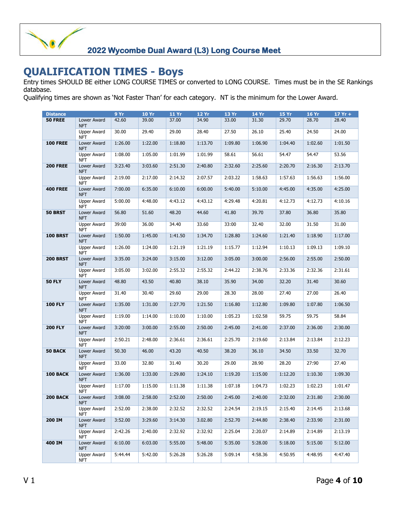#### **QUALIFICATION TIMES - Boys**

Entry times SHOULD BE either LONG COURSE TIMES or converted to LONG COURSE. Times must be in the SE Rankings database.

Qualifying times are shown as 'Not Faster Than' for each category. NT is the minimum for the Lower Award.

| <b>Distance</b> |                                  | 9Yr     | <b>10 Yr</b> | <b>11 Yr</b> | 12 Yr   | 13Yr    | <b>14 Yr</b> | <b>15 Yr</b> | <b>16 Yr</b> | $17Yr +$ |
|-----------------|----------------------------------|---------|--------------|--------------|---------|---------|--------------|--------------|--------------|----------|
| <b>50 FREE</b>  | Lower Award                      | 42.60   | 39.00        | 37.00        | 34.90   | 33.00   | 31.30        | 29.70        | 28.70        | 28.40    |
|                 | <b>NFT</b>                       |         |              |              |         |         |              |              |              |          |
|                 | <b>Upper Award</b><br><b>NFT</b> | 30.00   | 29.40        | 29.00        | 28.40   | 27.50   | 26.10        | 25.40        | 24.50        | 24.00    |
| <b>100 FREE</b> | Lower Award<br><b>NFT</b>        | 1:26.00 | 1:22.00      | 1:18.80      | 1:13.70 | 1:09.80 | 1:06.90      | 1:04.40      | 1:02.60      | 1:01.50  |
|                 | <b>Upper Award</b><br><b>NFT</b> | 1:08.00 | 1:05.00      | 1:01.99      | 1:01.99 | 58.61   | 56.61        | 54.47        | 54.47        | 53.56    |
| <b>200 FREE</b> | Lower Award<br><b>NFT</b>        | 3:23.40 | 3:03.60      | 2:51.30      | 2:40.80 | 2:32.60 | 2:25.60      | 2:20.70      | 2:16.30      | 2:13.70  |
|                 | <b>Upper Award</b><br><b>NFT</b> | 2:19.00 | 2:17.00      | 2:14.32      | 2:07.57 | 2:03.22 | 1:58.63      | 1:57.63      | 1:56.63      | 1:56.00  |
| <b>400 FREE</b> | Lower Award<br><b>NFT</b>        | 7:00.00 | 6:35.00      | 6:10.00      | 6:00.00 | 5:40.00 | 5:10.00      | 4:45.00      | 4:35.00      | 4:25.00  |
|                 | <b>Upper Award</b><br><b>NFT</b> | 5:00.00 | 4:48.00      | 4:43.12      | 4:43.12 | 4:29.48 | 4:20.81      | 4:12.73      | 4:12.73      | 4:10.16  |
| 50 BRST         | Lower Award<br><b>NFT</b>        | 56.80   | 51.60        | 48.20        | 44.60   | 41.80   | 39.70        | 37.80        | 36.80        | 35.80    |
|                 | <b>Upper Award</b><br><b>NFT</b> | 39:00   | 36.00        | 34.40        | 33.60   | 33:00   | 32.40        | 32.00        | 31.50        | 31.00    |
| <b>100 BRST</b> | Lower Award<br><b>NFT</b>        | 1:50.00 | 1:45.00      | 1:41.50      | 1:34.70 | 1:28.80 | 1:24.60      | 1:21.40      | 1:18.90      | 1:17.00  |
|                 | <b>Upper Award</b><br><b>NFT</b> | 1:26.00 | 1:24.00      | 1:21.19      | 1:21.19 | 1:15.77 | 1:12.94      | 1:10.13      | 1:09.13      | 1:09.10  |
| <b>200 BRST</b> | Lower Award<br><b>NFT</b>        | 3:35.00 | 3:24.00      | 3:15.00      | 3:12.00 | 3:05.00 | 3:00.00      | 2:56.00      | 2:55.00      | 2:50.00  |
|                 | <b>Upper Award</b><br><b>NFT</b> | 3:05.00 | 3:02.00      | 2:55.32      | 2:55.32 | 2:44.22 | 2:38.76      | 2:33.36      | 2:32.36      | 2:31.61  |
| <b>50 FLY</b>   | Lower Award<br><b>NFT</b>        | 48.80   | 43.50        | 40.80        | 38.10   | 35.90   | 34.00        | 32.20        | 31.40        | 30.60    |
|                 | <b>Upper Award</b><br><b>NFT</b> | 31.40   | 30.40        | 29.60        | 29.00   | 28.30   | 28.00        | 27.40        | 27.00        | 26.40    |
| <b>100 FLY</b>  | Lower Award<br><b>NFT</b>        | 1:35.00 | 1:31.00      | 1:27.70      | 1:21.50 | 1:16.80 | 1:12.80      | 1:09.80      | 1:07.80      | 1:06.50  |
|                 | <b>Upper Award</b><br><b>NFT</b> | 1:19.00 | 1:14.00      | 1:10.00      | 1:10.00 | 1:05.23 | 1:02.58      | 59.75        | 59.75        | 58.84    |
| <b>200 FLY</b>  | Lower Award<br><b>NFT</b>        | 3:20:00 | 3:00.00      | 2:55.00      | 2:50.00 | 2:45.00 | 2:41.00      | 2:37.00      | 2:36.00      | 2:30.00  |
|                 | <b>Upper Award</b><br><b>NFT</b> | 2:50.21 | 2:48.00      | 2:36.61      | 2:36.61 | 2:25.70 | 2:19.60      | 2:13.84      | 2:13.84      | 2:12.23  |
| <b>50 BACK</b>  | Lower Award<br><b>NFT</b>        | 50.30   | 46.00        | 43.20        | 40.50   | 38.20   | 36.10        | 34.50        | 33.50        | 32.70    |
|                 | <b>Upper Award</b><br><b>NFT</b> | 33.00   | 32.80        | 31.40        | 30.20   | 29.00   | 28.90        | 28.20        | 27:90        | 27.40    |
| 100 BACK        | Lower Award<br><b>NFT</b>        | 1:36.00 | 1:33.00      | 1:29.80      | 1:24.10 | 1:19.20 | 1:15.00      | 1:12.20      | 1:10.30      | 1:09.30  |
|                 | <b>Upper Award</b><br>NFT        | 1:17.00 | 1:15.00      | 1:11.38      | 1:11.38 | 1:07.18 | 1:04.73      | 1:02.23      | 1:02.23      | 1:01.47  |
| <b>200 BACK</b> | Lower Award<br><b>NFT</b>        | 3:08.00 | 2:58.00      | 2:52.00      | 2:50.00 | 2:45.00 | 2:40.00      | 2:32.00      | 2:31.80      | 2:30.00  |
|                 | <b>Upper Award</b><br><b>NFT</b> | 2:52.00 | 2:38.00      | 2:32.52      | 2:32.52 | 2:24.54 | 2:19.15      | 2:15.40      | 2:14.45      | 2:13.68  |
| 200 IM          | Lower Award<br><b>NFT</b>        | 3:52.00 | 3:29.60      | 3:14.30      | 3.02.80 | 2:52.70 | 2:44.80      | 2:38.40      | 2:33.90      | 2:31.00  |
|                 | <b>Upper Award</b><br><b>NFT</b> | 2:42.26 | 2:40.00      | 2:32.92      | 2:32.92 | 2:25.04 | 2:20.07      | 2:14.89      | 2:14.89      | 2:13.19  |
| 400 IM          | Lower Award<br><b>NFT</b>        | 6:10.00 | 6:03.00      | 5:55.00      | 5:48.00 | 5:35.00 | 5:28.00      | 5:18.00      | 5:15.00      | 5:12.00  |
|                 | <b>Upper Award</b><br>NFT        | 5:44.44 | 5:42.00      | 5:26.28      | 5:26.28 | 5:09.14 | 4:58.36      | 4:50.95      | 4:48.95      | 4:47.40  |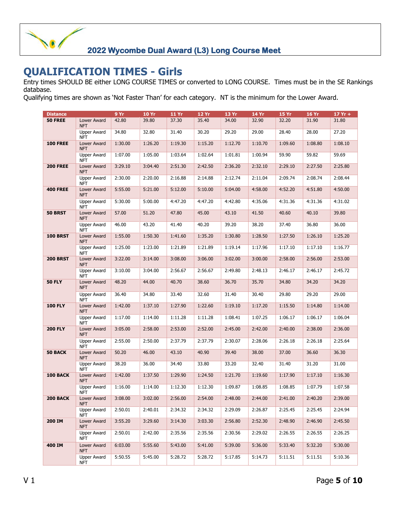#### **QUALIFICATION TIMES - Girls**

Entry times SHOULD BE either LONG COURSE TIMES or converted to LONG COURSE. Times must be in the SE Rankings database.

Qualifying times are shown as 'Not Faster Than' for each category. NT is the minimum for the Lower Award.

| <b>Distance</b> |                                  | 9 Yr    | <b>10 Yr</b> | <b>11 Yr</b> | 12 Yr   | 13 Yr   | 14 Yr   | 15 Yr   | <b>16 Yr</b> | $17Yr +$ |
|-----------------|----------------------------------|---------|--------------|--------------|---------|---------|---------|---------|--------------|----------|
| <b>50 FREE</b>  | Lower Award<br><b>NFT</b>        | 42.80   | 39.80        | 37.30        | 35.40   | 34.00   | 32.90   | 32.20   | 31.90        | 31.80    |
|                 | <b>Upper Award</b><br><b>NFT</b> | 34.80   | 32.80        | 31.40        | 30.20   | 29.20   | 29.00   | 28.40   | 28.00        | 27.20    |
| <b>100 FREE</b> | Lower Award<br><b>NFT</b>        | 1:30.00 | 1:26.20      | 1:19.30      | 1:15.20 | 1:12.70 | 1:10.70 | 1:09.60 | 1:08.80      | 1:08.10  |
|                 | Upper Award<br><b>NFT</b>        | 1:07.00 | 1:05.00      | 1:03.64      | 1:02.64 | 1:01.81 | 1:00.94 | 59.90   | 59.82        | 59.69    |
| <b>200 FREE</b> | Lower Award<br><b>NFT</b>        | 3:29.10 | 3:04.40      | 2:51.30      | 2:42.50 | 2:36.20 | 2:32.10 | 2:29.10 | 2:27.50      | 2:25.80  |
|                 | <b>Upper Award</b><br><b>NFT</b> | 2:30.00 | 2:20.00      | 2:16.88      | 2:14.88 | 2:12.74 | 2:11.04 | 2:09.74 | 2:08.74      | 2:08.44  |
| <b>400 FREE</b> | Lower Award<br><b>NFT</b>        | 5:55.00 | 5:21.00      | 5:12.00      | 5:10.00 | 5:04.00 | 4:58.00 | 4:52.20 | 4:51.80      | 4:50.00  |
|                 | <b>Upper Award</b><br><b>NFT</b> | 5:30.00 | 5:00.00      | 4:47.20      | 4:47.20 | 4:42.80 | 4:35.06 | 4:31.36 | 4:31.36      | 4:31.02  |
| <b>50 BRST</b>  | Lower Award<br><b>NFT</b>        | 57.00   | 51.20        | 47.80        | 45.00   | 43.10   | 41.50   | 40.60   | 40.10        | 39.80    |
|                 | <b>Upper Award</b><br><b>NFT</b> | 46.00   | 43.20        | 41.40        | 40.20   | 39.20   | 38.20   | 37.40   | 36.80        | 36.00    |
| <b>100 BRST</b> | Lower Award<br><b>NFT</b>        | 1:55.00 | 1:50.30      | 1:41.60      | 1:35.20 | 1:30.80 | 1:28.50 | 1:27.50 | 1:26.10      | 1:25.20  |
|                 | <b>Upper Award</b><br><b>NFT</b> | 1:25.00 | 1:23.00      | 1:21.89      | 1:21.89 | 1:19.14 | 1:17.96 | 1:17.10 | 1:17.10      | 1:16.77  |
| <b>200 BRST</b> | Lower Award<br><b>NFT</b>        | 3:22.00 | 3:14.00      | 3:08.00      | 3:06.00 | 3:02.00 | 3:00.00 | 2:58.00 | 2:56.00      | 2:53.00  |
|                 | <b>Upper Award</b><br><b>NFT</b> | 3:10.00 | 3:04.00      | 2:56.67      | 2:56.67 | 2:49.80 | 2:48.13 | 2:46.17 | 2:46.17      | 2:45.72  |
| <b>50 FLY</b>   | Lower Award<br><b>NFT</b>        | 48.20   | 44.00        | 40.70        | 38.60   | 36.70   | 35.70   | 34.80   | 34.20        | 34.20    |
|                 | <b>Upper Award</b><br><b>NFT</b> | 36.40   | 34.80        | 33.40        | 32.60   | 31.40   | 30.40   | 29.80   | 29.20        | 29.00    |
| <b>100 FLY</b>  | Lower Award<br><b>NFT</b>        | 1:42.00 | 1:37.10      | 1:27.90      | 1:22.60 | 1:19.10 | 1:17.20 | 1:15.50 | 1:14.80      | 1:14.00  |
|                 | <b>Upper Award</b><br><b>NFT</b> | 1:17.00 | 1:14.00      | 1:11.28      | 1:11.28 | 1:08.41 | 1:07.25 | 1:06.17 | 1:06.17      | 1:06.04  |
| <b>200 FLY</b>  | Lower Award<br><b>NFT</b>        | 3:05.00 | 2:58.00      | 2:53.00      | 2:52.00 | 2:45.00 | 2:42.00 | 2:40.00 | 2:38.00      | 2:36.00  |
|                 | <b>Upper Award</b><br><b>NFT</b> | 2:55.00 | 2:50.00      | 2:37.79      | 2:37.79 | 2:30.07 | 2:28.06 | 2:26.18 | 2:26.18      | 2:25.64  |
| <b>50 BACK</b>  | Lower Award<br><b>NFT</b>        | 50.20   | 46.00        | 43.10        | 40.90   | 39.40   | 38.00   | 37.00   | 36.60        | 36.30    |
|                 | <b>Upper Award</b><br><b>NFT</b> | 38.20   | 36.00        | 34.40        | 33.80   | 33.20   | 32.40   | 31.40   | 31.20        | 31.00    |
| 100 BACK        | Lower Award<br><b>NFT</b>        | 1:42.00 | 1:37.50      | 1:29.90      | 1:24.50 | 1:21.70 | 1:19.60 | 1:17.90 | 1:17.10      | 1:16.30  |
|                 | Upper Award<br>NFT               | 1:16.00 | 1:14.00      | 1:12.30      | 1:12.30 | 1:09.87 | 1:08.85 | 1:08.85 | 1:07.79      | 1:07.58  |
| <b>200 BACK</b> | Lower Award<br>NFT.              | 3:08.00 | 3:02.00      | 2:56.00      | 2:54.00 | 2:48.00 | 2:44.00 | 2:41.00 | 2:40.20      | 2:39.00  |
|                 | Upper Award<br><b>NFT</b>        | 2:50.01 | 2:40.01      | 2:34.32      | 2:34.32 | 2:29.09 | 2:26.87 | 2:25.45 | 2:25.45      | 2:24.94  |
| 200 IM          | Lower Award<br>NFT               | 3:55.20 | 3:29.60      | 3:14.30      | 3:03.30 | 2:56.80 | 2:52.30 | 2:48.90 | 2:46.90      | 2:45.50  |
|                 | <b>Upper Award</b><br><b>NFT</b> | 2:50.01 | 2:42.00      | 2:35.56      | 2:35.56 | 2:30.56 | 2:29.02 | 2:26.55 | 2:26.55      | 2:26.25  |
| 400 IM          | Lower Award<br><b>NFT</b>        | 6:03.00 | 5:55.60      | 5:43.00      | 5:41.00 | 5:39.00 | 5:36.00 | 5:33.40 | 5:32.20      | 5:30.00  |
|                 | Upper Award<br><b>NFT</b>        | 5:50.55 | 5:45.00      | 5:28.72      | 5:28.72 | 5:17.85 | 5:14.73 | 5:11.51 | 5:11.51      | 5:10.36  |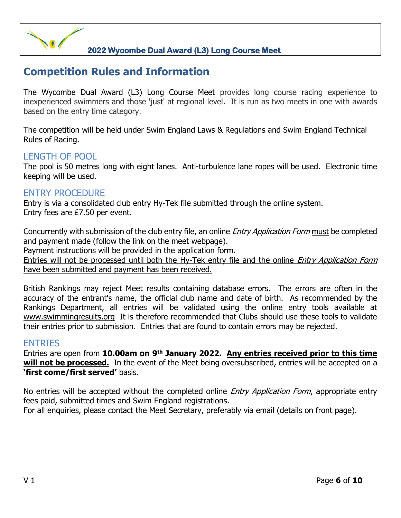#### **Competition Rules and Information**

The Wycombe Dual Award (L3) Long Course Meet provides long course racing experience to inexperienced swimmers and those 'just' at regional level. It is run as two meets in one with awards based on the entry time category.

The competition will be held under Swim England Laws & Regulations and Swim England Technical Rules of Racing.

#### LENGTH OF POOL

The pool is 50 metres long with eight lanes. Anti-turbulence lane ropes will be used. Electronic time keeping will be used.

#### ENTRY PROCEDURE

Entry is via a consolidated club entry Hy-Tek file submitted through the online system. Entry fees are £7.50 per event.

Concurrently with submission of the club entry file, an online *Entry Application Form* must be completed and payment made (follow the link on the meet webpage).

Payment instructions will be provided in the application form.

Entries will not be processed until both the Hy-Tek entry file and the online *Entry Application Form* have been submitted and payment has been received.

British Rankings may reject Meet results containing database errors. The errors are often in the accuracy of the entrant's name, the official club name and date of birth. As recommended by the Rankings Department, all entries will be validated using the online entry tools available at www.swimmingresults.org It is therefore recommended that Clubs should use these tools to validate their entries prior to submission. Entries that are found to contain errors may be rejected.

#### ENTRIES

Entries are open from 10.00am on 9<sup>th</sup> January 2022. Any entries received prior to this time **will not be processed.** In the event of the Meet being oversubscribed, entries will be accepted on a **'first come/first served'** basis.

No entries will be accepted without the completed online *Entry Application Form*, appropriate entry fees paid, submitted times and Swim England registrations.

For all enquiries, please contact the Meet Secretary, preferably via email (details on front page).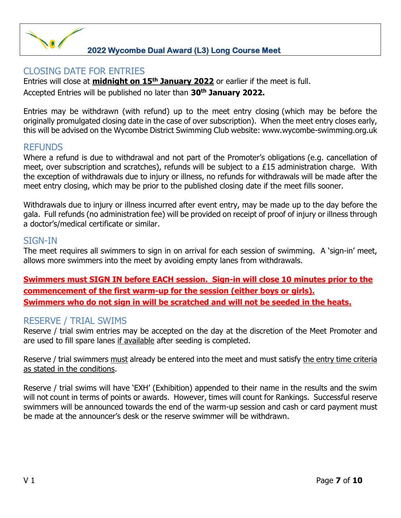#### CLOSING DATE FOR ENTRIES

Entries will close at **midnight on 15th January 2022** or earlier if the meet is full. Accepted Entries will be published no later than **30th January 2022.**

Entries may be withdrawn (with refund) up to the meet entry closing (which may be before the originally promulgated closing date in the case of over subscription). When the meet entry closes early, this will be advised on the Wycombe District Swimming Club website: www.wycombe-swimming.org.uk

#### REFUNDS

Where a refund is due to withdrawal and not part of the Promoter's obligations (e.g. cancellation of meet, over subscription and scratches), refunds will be subject to a £15 administration charge. With the exception of withdrawals due to injury or illness, no refunds for withdrawals will be made after the meet entry closing, which may be prior to the published closing date if the meet fills sooner.

Withdrawals due to injury or illness incurred after event entry, may be made up to the day before the gala. Full refunds (no administration fee) will be provided on receipt of proof of injury or illness through a doctor's/medical certificate or similar.

#### SIGN-IN

The meet requires all swimmers to sign in on arrival for each session of swimming. A 'sign-in' meet, allows more swimmers into the meet by avoiding empty lanes from withdrawals.

**Swimmers must SIGN IN before EACH session. Sign-in will close 10 minutes prior to the commencement of the first warm-up for the session (either boys or girls). Swimmers who do not sign in will be scratched and will not be seeded in the heats.**

#### RESERVE / TRIAL SWIMS

Reserve / trial swim entries may be accepted on the day at the discretion of the Meet Promoter and are used to fill spare lanes if available after seeding is completed.

Reserve / trial swimmers must already be entered into the meet and must satisfy the entry time criteria as stated in the conditions.

Reserve / trial swims will have 'EXH' (Exhibition) appended to their name in the results and the swim will not count in terms of points or awards. However, times will count for Rankings. Successful reserve swimmers will be announced towards the end of the warm-up session and cash or card payment must be made at the announcer's desk or the reserve swimmer will be withdrawn.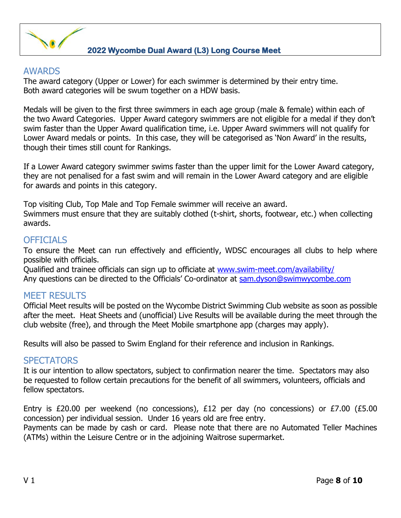

#### AWARDS

The award category (Upper or Lower) for each swimmer is determined by their entry time. Both award categories will be swum together on a HDW basis.

Medals will be given to the first three swimmers in each age group (male & female) within each of the two Award Categories. Upper Award category swimmers are not eligible for a medal if they don't swim faster than the Upper Award qualification time, i.e. Upper Award swimmers will not qualify for Lower Award medals or points. In this case, they will be categorised as 'Non Award' in the results, though their times still count for Rankings.

If a Lower Award category swimmer swims faster than the upper limit for the Lower Award category, they are not penalised for a fast swim and will remain in the Lower Award category and are eligible for awards and points in this category.

Top visiting Club, Top Male and Top Female swimmer will receive an award. Swimmers must ensure that they are suitably clothed (t-shirt, shorts, footwear, etc.) when collecting awards.

#### OFFICIALS

To ensure the Meet can run effectively and efficiently, WDSC encourages all clubs to help where possible with officials.

Qualified and trainee officials can sign up to officiate at www.swim-meet.com/availability/ Any questions can be directed to the Officials' Co-ordinator at sam.dyson@swimwycombe.com

#### MEET RESULTS

Official Meet results will be posted on the Wycombe District Swimming Club website as soon as possible after the meet. Heat Sheets and (unofficial) Live Results will be available during the meet through the club website (free), and through the Meet Mobile smartphone app (charges may apply).

Results will also be passed to Swim England for their reference and inclusion in Rankings.

#### **SPECTATORS**

It is our intention to allow spectators, subject to confirmation nearer the time. Spectators may also be requested to follow certain precautions for the benefit of all swimmers, volunteers, officials and fellow spectators.

Entry is £20.00 per weekend (no concessions), £12 per day (no concessions) or £7.00 (£5.00 concession) per individual session. Under 16 years old are free entry.

Payments can be made by cash or card. Please note that there are no Automated Teller Machines (ATMs) within the Leisure Centre or in the adjoining Waitrose supermarket.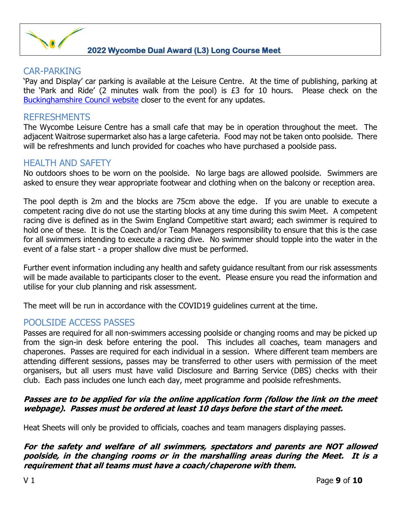

#### CAR-PARKING

'Pay and Display' car parking is available at the Leisure Centre. At the time of publishing, parking at the 'Park and Ride' (2 minutes walk from the pool) is £3 for 10 hours. Please check on the Buckinghamshire Council website closer to the event for any updates.

#### REFRESHMENTS

The Wycombe Leisure Centre has a small cafe that may be in operation throughout the meet. The adjacent Waitrose supermarket also has a large cafeteria. Food may not be taken onto poolside. There will be refreshments and lunch provided for coaches who have purchased a poolside pass.

#### HEALTH AND SAFFTY

No outdoors shoes to be worn on the poolside. No large bags are allowed poolside. Swimmers are asked to ensure they wear appropriate footwear and clothing when on the balcony or reception area.

The pool depth is 2m and the blocks are 75cm above the edge. If you are unable to execute a competent racing dive do not use the starting blocks at any time during this swim Meet. A competent racing dive is defined as in the Swim England Competitive start award; each swimmer is required to hold one of these. It is the Coach and/or Team Managers responsibility to ensure that this is the case for all swimmers intending to execute a racing dive. No swimmer should topple into the water in the event of a false start - a proper shallow dive must be performed.

Further event information including any health and safety guidance resultant from our risk assessments will be made available to participants closer to the event. Please ensure you read the information and utilise for your club planning and risk assessment.

The meet will be run in accordance with the COVID19 guidelines current at the time.

#### POOLSIDE ACCESS PASSES

Passes are required for all non-swimmers accessing poolside or changing rooms and may be picked up from the sign-in desk before entering the pool. This includes all coaches, team managers and chaperones. Passes are required for each individual in a session. Where different team members are attending different sessions, passes may be transferred to other users with permission of the meet organisers, but all users must have valid Disclosure and Barring Service (DBS) checks with their club. Each pass includes one lunch each day, meet programme and poolside refreshments.

#### **Passes are to be applied for via the online application form (follow the link on the meet webpage). Passes must be ordered at least 10 days before the start of the meet.**

Heat Sheets will only be provided to officials, coaches and team managers displaying passes.

#### **For the safety and welfare of all swimmers, spectators and parents are NOT allowed poolside, in the changing rooms or in the marshalling areas during the Meet. It is a requirement that all teams must have a coach/chaperone with them.**